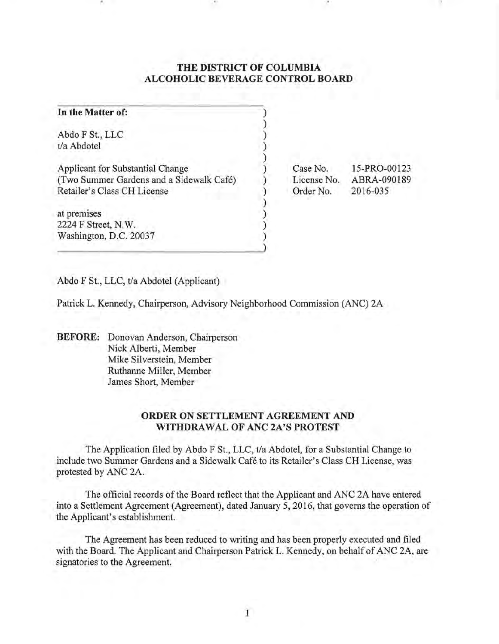## **THE DISTRICT OF COLUMBIA ALCOHOLIC BEVERAGE CONTROL BOARD**

| In the Matter of:                                                                                           |                                      |                                         |
|-------------------------------------------------------------------------------------------------------------|--------------------------------------|-----------------------------------------|
| Abdo F St., LLC<br>t/a Abdotel                                                                              |                                      |                                         |
| Applicant for Substantial Change<br>(Two Summer Gardens and a Sidewalk Café)<br>Retailer's Class CH License | Case No.<br>License No.<br>Order No. | 15-PRO-00123<br>ABRA-090189<br>2016-035 |
| at premises<br>2224 F Street, N.W.<br>Washington, D.C. 20037                                                |                                      |                                         |

Abdo F St., LLC, t/a Abdotel (Applicant)

. ' .'

Patrick L. Kennedy, Chairperson, Advisory Neighborhood Commission (ANC) 2A

**BEFORE:** Donovan Anderson, Chairperson Nick Alberti, Member Mike Silverstein, Member Ruthanne Miller, Member James Short, Member

## **ORDER ON SETTLEMENT AGREEMENT AND WITHDRAWAL OF ANC 2A'S PROTEST**

The Application filed by Abdo F St., LLC, t/a Abdotel, for a Substantial Change to include two Summer Gardens and a Sidewalk Cafe to its Retailer's Class CH License, was protested by ANC 2A.

The official records of the Board reflect that the Applicant and ANC 2A have entered into a Settlement Agreement (Agreement), dated January 5, 2016, that governs the operation of the Applicant's establishment.

The Agreement has been reduced to writing and has been properly executed and filed with the Board. The Applicant and Chairperson Patrick L. Kennedy, on behalf of ANC 2A, are signatories to the Agreement.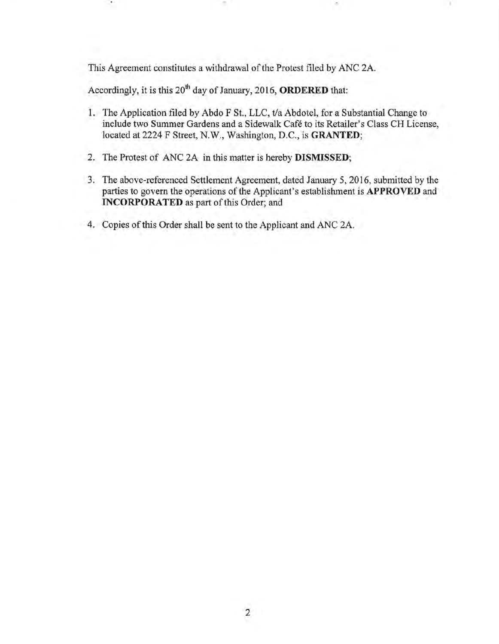This Agreement constitutes a withdrawal of the Protest filed by ANC 2A.

Accordingly, it is this 20th day of January, 2016, **ORDERED** that:

.'

- 1. The Application filed by Abdo F St., LLC, t/a Abdotel, for a Substantial Change to include two Summer Gardens and a Sidewalk Cafe to its Retailer's Class CH License, located at 2224 F Street, N.W., Washington, D.C., is **GRANTED;**
- 2. The Protest of ANC 2A in this matter is hereby **DISMISSED;**
- 3. The above-referenced Settlement Agreement, dated January 5,2016, submitted by the parties to govern the operations of the Applicant's establishment is **APPROVED** and **INCORPORATED** as part of this Order; and
- 4. Copies of this Order shall be sent to the Applicant and ANC 2A.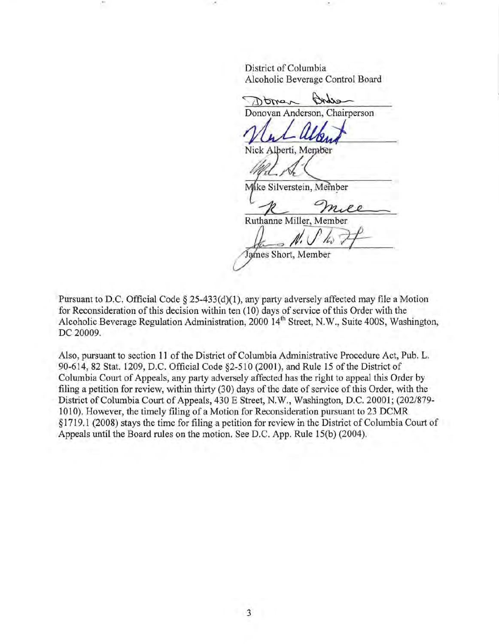District of Columbia Alcoholic Beverage Control Board .'

echne Doman Donovan Anderson, Chairperson

Nick Alberti, Member

.' .'

ke Silverstein, Member M

R mile

Ruthanne Miller, Member

 $N$ ,  $U$   $N$   $\tau$ 

Pursuant to D.C. Official Code § 25-433(d)(1), any party adversely affected may file a Motion for Reconsideration of this decision within ten (10) days of service of this Order with the Alcoholic Beverage Regulation Administration, 2000 14<sup>th</sup> Street, N.W., Suite 400S, Washington, DC 20009.

Also, pursuant to section 11 of the District of Columbia Administrative Procedure Act, Pub. L. 90-614,82 Stat. 1209, D.C. Official Code §2-510 (2001), and Rule 15 of the District of Columbia Court of Appeals, any party adversely affected has the right to appeal this Order by filing a petition for review, within thirty (30) days of the date of service of this Order, with the District of Columbia Court of Appeals, 430 E Street, N.W., Washington, D.C. 20001; (202/879- 1010). However, the timely filing of a Motion for Reconsideration pursuant to 23 DCMR § 1719.1 (2008) stays the time for filing a petition for review in the District of Columbia Court of Appeals until the Board rules on the motion. See D.C. App. Rule 15(b) (2004).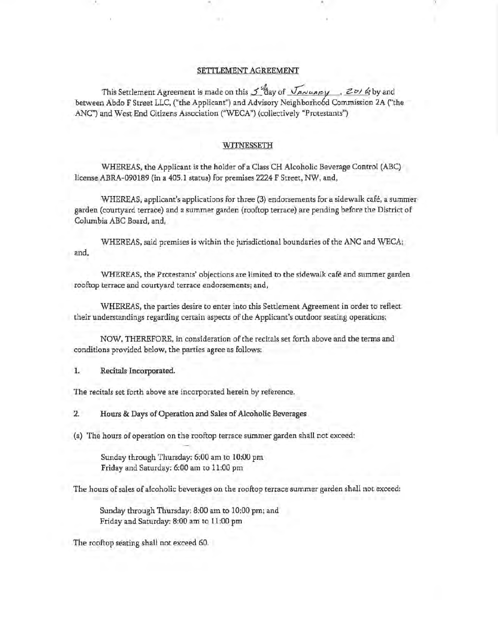## SETTLEMENT AGREEMENT

.'

This Settlement Agreement is made on this  $\mathcal{I}''$ day of  $\overline{\mathcal{I}}_{\mathcal{A}\mathcal{N}\mathcal{U}\mathcal{A}\mathcal{B}}$  ,  $\overline{\mathcal{Z}}$   $\mathcal{D}$  /  $\mathcal{Q}$  by and between Abdo F Street LLC, ("the Applicant") and Advisory Neighborhood Commission 2A ("the ANC") and West End Citizens Association ("WECA") (collectively "Protestants")

. ' .'

## WITNESSETH

WHEREAS, the Applicant is the holder of a Class CH Alcoholic Beverage Control (ABC) license ABRA-090189 (in a 405.1 status) for premises 2224 F Street, NW, and,

WHEREAS, applicant's applications for three (3) endorsements for a sidewalk cafe, a summer garden (courtyard terrace) and a summer garden (rooftop terrace) are pending before the District of Columbia ABC Board, and,

WHEREAS, said premises is within the jurisdictional boundaries of the ANC and WECA; and,

WHEREAS, the Protestants' objections are limited to the sidewalk cafe and summer garden rooftop terrace and courtyard terrace endorsements; and,

WHEREAS, the parties desire to enter into this Settlement Agreement in order to reflect their understandings regarding certain aspects of the Applicant's outdoor seating operations;

NOW, THEREFORE, in consideration of the recitals set forth above and the terms and conditions provided below, the parties agree as follows:

1. Recitals Incorporated.

The recitals set forth above are incorporated herein by reference.

2. Hours & Days of Operation and Sales of Alcoholic Beverages

(a) The hours of operation on the rooftop terrace summer garden shall not exceed:

Sunday through Thursday: 6:00 am to 10:00 pm Friday and Saturday: 6:00 am to 11:00 pm

The hours of sales of alcoholic beverages on the rooftop terrace summer garden shall not exceed:

Sunday through Thursday: 8:00 am to 10:00 pm; and Friday and Saturday: 8:00 am to 11 :00 pm

The rooftop seating shall not exceed 60.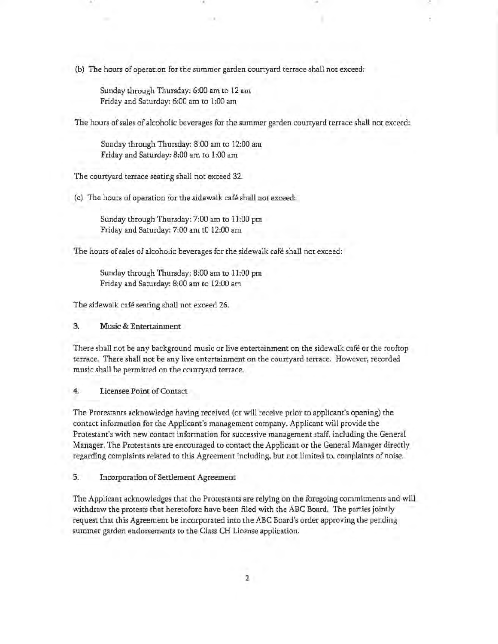(b) The hours of operation for the summer garden courtyard terrace shall not exceed:

Sunday through Thursday: 6:00 am to 12 am Friday and Saturday: 6:00 am to 1:00 am

The hours of sales of alcoholic beverages for the summer garden courtyard terrace shall not exceed:

.'

Sunday through Thursday: 8:00 am to 12:00 am Friday and Saturday: 8;00 am to 1:00 am

The courtyard terrace seating shall not exceed 32.

(c) The hours of operation for the sidewalk cafe shall not exceed:

Sunday through Thursday; 7:00 am to 11:00 pm Friday and Saturday: 7:00 am to 12:00 am

The hours of sales of alcoholic beverages for the sidewalk cafe shall not exceed:

Sunday through Thursday; 8:00 am to 11:00 pm Friday and Saturday: 8;00 am to 12;00 am

The sidewalk café seating shall not exceed 26.

3. Music & Entertainment

There shall not be any background music or live entertainment on the sidewalk cafe or the rooftop terrace. There shall not be any live entertainment on the courtyard terrace. However, recorded music shall be permitted on the courtyard terrace.

4. Licensee Point of Contact

The Protestants acknowledge having received (or will receive prior to applicant's opening) the contact information for the Applicant's management company. Applicant will provide the Protestant's with new contact information for successive management staff, including the General Manager. The Protestants are encouraged to contact the Applicant or the General Manager directly regarding complaints related to this Agreement including, but not limited to, complaints of noise.

5. Incorporation of Settlement Agreement

The Applicant acknowledges that the Protestants are relying on the foregoing commitments and will withdraw the protests that heretofore have been filed with the ABC Board. The parties jointly request that this Agreement be incorporated into the ABC Board's order approving the pending summer garden endorsements to the Class CH License application.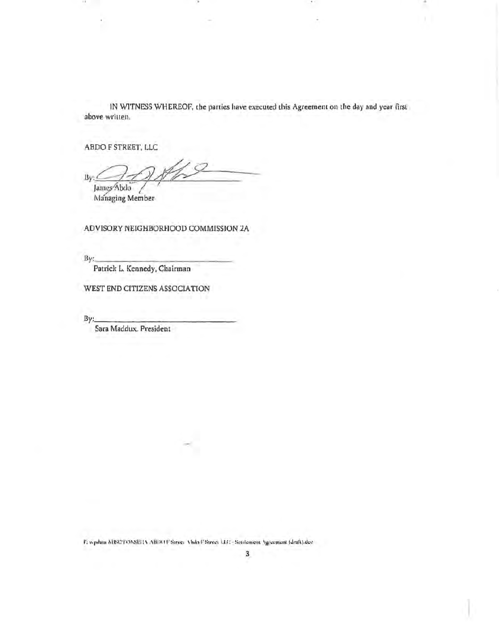IN WITNESS WHEREOF, the parties have executed this Agreement on the day and year first above written.

ABDO F STREET, LLC

 $\mathbf{R}$ James Abdo

Managing Member

ADVISORY NEIGHBORHOOD COMMISSION 2A

By:

Patrick L. Kennedy, Chairman

WEST END CITIZENS ASSOCIATION

By:

Sara Maddux. President

F: wpdata KISC/TONSEGA ABDO F Street Ahdo F Street LLC - Settlement Agreement (draft).doc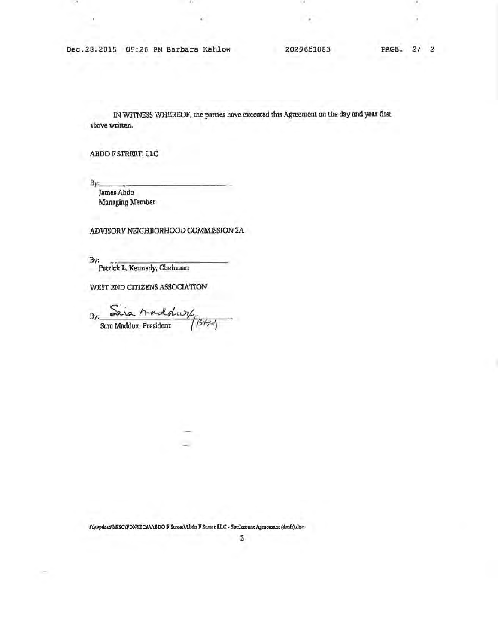Dec.28.2015 05:26 PM Barbara Kahlow

2029651083

IN WITNESS WHEREOF, the parties have executed this Agreement on the day and year first above written.

ABDO F STREET, LLC

By:

James Abdo Managing Member

ADVISORY NEIGHBORHOOD COMMISSION 2A

By:

Patrick L. Kennedy, Chairman

WEST END CITIZENS ASSOCIATION

By:  $BB+$ Sara Maddux, President

FAvydauNMISC\FONSECA\ABDO F Street\Abdn F Street ILC - Settlement Agreement (draft).doc